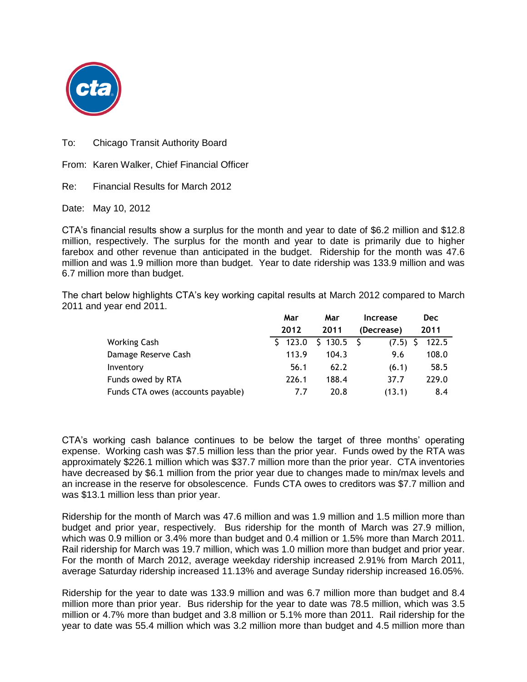

To: Chicago Transit Authority Board

From: Karen Walker, Chief Financial Officer

Re: Financial Results for March 2012

Date: May 10, 2012

CTA's financial results show a surplus for the month and year to date of \$6.2 million and \$12.8 million, respectively. The surplus for the month and year to date is primarily due to higher farebox and other revenue than anticipated in the budget. Ridership for the month was 47.6 million and was 1.9 million more than budget. Year to date ridership was 133.9 million and was 6.7 million more than budget.

The chart below highlights CTA's key working capital results at March 2012 compared to March 2011 and year end 2011.

|                                   | Mar         | Mar     | Increase   | <b>Dec</b> |
|-----------------------------------|-------------|---------|------------|------------|
|                                   | 2012        | 2011    | (Decrease) | 2011       |
| Working Cash                      | 123.0<br>S. | \$130.5 | (7.5)      | 122.5      |
| Damage Reserve Cash               | 113.9       | 104.3   | 9.6        | 108.0      |
| Inventory                         | 56.1        | 62.2    | (6.1)      | 58.5       |
| Funds owed by RTA                 | 226.1       | 188.4   | 37.7       | 229.0      |
| Funds CTA owes (accounts payable) | 7.7         | 20.8    | (13.1)     | 8.4        |

CTA's working cash balance continues to be below the target of three months' operating expense. Working cash was \$7.5 million less than the prior year. Funds owed by the RTA was approximately \$226.1 million which was \$37.7 million more than the prior year. CTA inventories have decreased by \$6.1 million from the prior year due to changes made to min/max levels and an increase in the reserve for obsolescence. Funds CTA owes to creditors was \$7.7 million and was \$13.1 million less than prior year.

Ridership for the month of March was 47.6 million and was 1.9 million and 1.5 million more than budget and prior year, respectively. Bus ridership for the month of March was 27.9 million, which was 0.9 million or 3.4% more than budget and 0.4 million or 1.5% more than March 2011. Rail ridership for March was 19.7 million, which was 1.0 million more than budget and prior year. For the month of March 2012, average weekday ridership increased 2.91% from March 2011, average Saturday ridership increased 11.13% and average Sunday ridership increased 16.05%.

Ridership for the year to date was 133.9 million and was 6.7 million more than budget and 8.4 million more than prior year. Bus ridership for the year to date was 78.5 million, which was 3.5 million or 4.7% more than budget and 3.8 million or 5.1% more than 2011. Rail ridership for the year to date was 55.4 million which was 3.2 million more than budget and 4.5 million more than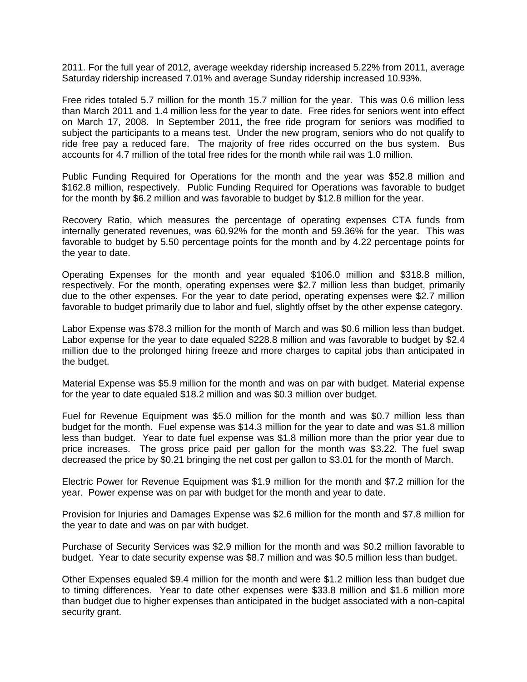2011. For the full year of 2012, average weekday ridership increased 5.22% from 2011, average Saturday ridership increased 7.01% and average Sunday ridership increased 10.93%.

Free rides totaled 5.7 million for the month 15.7 million for the year. This was 0.6 million less than March 2011 and 1.4 million less for the year to date. Free rides for seniors went into effect on March 17, 2008. In September 2011, the free ride program for seniors was modified to subject the participants to a means test. Under the new program, seniors who do not qualify to ride free pay a reduced fare. The majority of free rides occurred on the bus system. Bus accounts for 4.7 million of the total free rides for the month while rail was 1.0 million.

Public Funding Required for Operations for the month and the year was \$52.8 million and \$162.8 million, respectively. Public Funding Required for Operations was favorable to budget for the month by \$6.2 million and was favorable to budget by \$12.8 million for the year.

Recovery Ratio, which measures the percentage of operating expenses CTA funds from internally generated revenues, was 60.92% for the month and 59.36% for the year. This was favorable to budget by 5.50 percentage points for the month and by 4.22 percentage points for the year to date.

Operating Expenses for the month and year equaled \$106.0 million and \$318.8 million, respectively. For the month, operating expenses were \$2.7 million less than budget, primarily due to the other expenses. For the year to date period, operating expenses were \$2.7 million favorable to budget primarily due to labor and fuel, slightly offset by the other expense category.

Labor Expense was \$78.3 million for the month of March and was \$0.6 million less than budget. Labor expense for the year to date equaled \$228.8 million and was favorable to budget by \$2.4 million due to the prolonged hiring freeze and more charges to capital jobs than anticipated in the budget.

Material Expense was \$5.9 million for the month and was on par with budget. Material expense for the year to date equaled \$18.2 million and was \$0.3 million over budget.

Fuel for Revenue Equipment was \$5.0 million for the month and was \$0.7 million less than budget for the month. Fuel expense was \$14.3 million for the year to date and was \$1.8 million less than budget. Year to date fuel expense was \$1.8 million more than the prior year due to price increases. The gross price paid per gallon for the month was \$3.22. The fuel swap decreased the price by \$0.21 bringing the net cost per gallon to \$3.01 for the month of March.

Electric Power for Revenue Equipment was \$1.9 million for the month and \$7.2 million for the year. Power expense was on par with budget for the month and year to date.

Provision for Injuries and Damages Expense was \$2.6 million for the month and \$7.8 million for the year to date and was on par with budget.

Purchase of Security Services was \$2.9 million for the month and was \$0.2 million favorable to budget. Year to date security expense was \$8.7 million and was \$0.5 million less than budget.

Other Expenses equaled \$9.4 million for the month and were \$1.2 million less than budget due to timing differences. Year to date other expenses were \$33.8 million and \$1.6 million more than budget due to higher expenses than anticipated in the budget associated with a non-capital security grant.